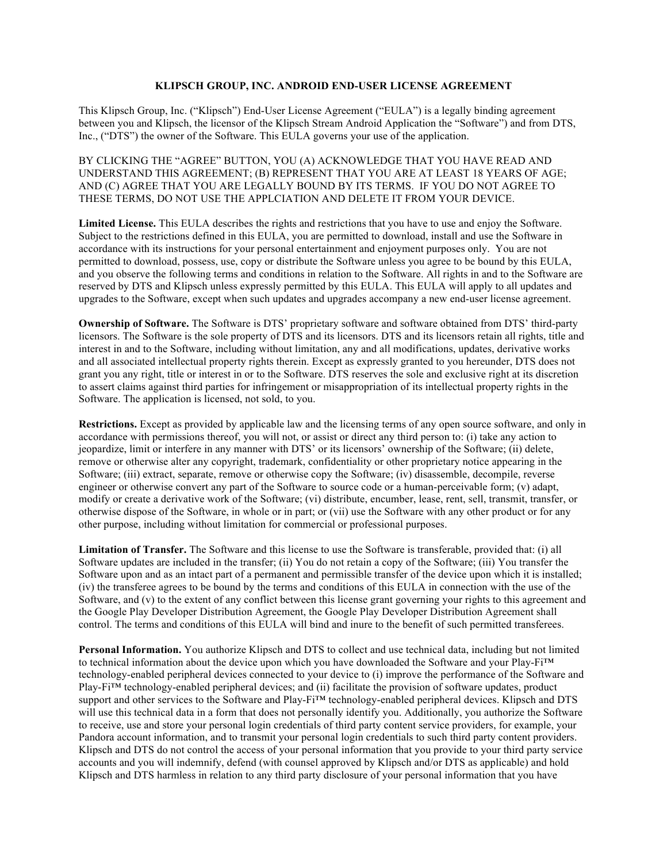## **KLIPSCH GROUP, INC. ANDROID END-USER LICENSE AGREEMENT**

This Klipsch Group, Inc. ("Klipsch") End-User License Agreement ("EULA") is a legally binding agreement between you and Klipsch, the licensor of the Klipsch Stream Android Application the "Software") and from DTS, Inc., ("DTS") the owner of the Software. This EULA governs your use of the application.

BY CLICKING THE "AGREE" BUTTON, YOU (A) ACKNOWLEDGE THAT YOU HAVE READ AND UNDERSTAND THIS AGREEMENT; (B) REPRESENT THAT YOU ARE AT LEAST 18 YEARS OF AGE; AND (C) AGREE THAT YOU ARE LEGALLY BOUND BY ITS TERMS. IF YOU DO NOT AGREE TO THESE TERMS, DO NOT USE THE APPLCIATION AND DELETE IT FROM YOUR DEVICE.

**Limited License.** This EULA describes the rights and restrictions that you have to use and enjoy the Software. Subject to the restrictions defined in this EULA, you are permitted to download, install and use the Software in accordance with its instructions for your personal entertainment and enjoyment purposes only. You are not permitted to download, possess, use, copy or distribute the Software unless you agree to be bound by this EULA, and you observe the following terms and conditions in relation to the Software. All rights in and to the Software are reserved by DTS and Klipsch unless expressly permitted by this EULA. This EULA will apply to all updates and upgrades to the Software, except when such updates and upgrades accompany a new end-user license agreement.

**Ownership of Software.** The Software is DTS' proprietary software and software obtained from DTS' third-party licensors. The Software is the sole property of DTS and its licensors. DTS and its licensors retain all rights, title and interest in and to the Software, including without limitation, any and all modifications, updates, derivative works and all associated intellectual property rights therein. Except as expressly granted to you hereunder, DTS does not grant you any right, title or interest in or to the Software. DTS reserves the sole and exclusive right at its discretion to assert claims against third parties for infringement or misappropriation of its intellectual property rights in the Software. The application is licensed, not sold, to you.

**Restrictions.** Except as provided by applicable law and the licensing terms of any open source software, and only in accordance with permissions thereof, you will not, or assist or direct any third person to: (i) take any action to jeopardize, limit or interfere in any manner with DTS' or its licensors' ownership of the Software; (ii) delete, remove or otherwise alter any copyright, trademark, confidentiality or other proprietary notice appearing in the Software; (iii) extract, separate, remove or otherwise copy the Software; (iv) disassemble, decompile, reverse engineer or otherwise convert any part of the Software to source code or a human-perceivable form; (v) adapt, modify or create a derivative work of the Software; (vi) distribute, encumber, lease, rent, sell, transmit, transfer, or otherwise dispose of the Software, in whole or in part; or (vii) use the Software with any other product or for any other purpose, including without limitation for commercial or professional purposes.

**Limitation of Transfer.** The Software and this license to use the Software is transferable, provided that: (i) all Software updates are included in the transfer; (ii) You do not retain a copy of the Software; (iii) You transfer the Software upon and as an intact part of a permanent and permissible transfer of the device upon which it is installed; (iv) the transferee agrees to be bound by the terms and conditions of this EULA in connection with the use of the Software, and (v) to the extent of any conflict between this license grant governing your rights to this agreement and the Google Play Developer Distribution Agreement, the Google Play Developer Distribution Agreement shall control. The terms and conditions of this EULA will bind and inure to the benefit of such permitted transferees.

**Personal Information.** You authorize Klipsch and DTS to collect and use technical data, including but not limited to technical information about the device upon which you have downloaded the Software and your Play-Fi™ technology-enabled peripheral devices connected to your device to (i) improve the performance of the Software and Play-Fi™ technology-enabled peripheral devices; and (ii) facilitate the provision of software updates, product support and other services to the Software and Play-Fi<sup>™</sup> technology-enabled peripheral devices. Klipsch and DTS will use this technical data in a form that does not personally identify you. Additionally, you authorize the Software to receive, use and store your personal login credentials of third party content service providers, for example, your Pandora account information, and to transmit your personal login credentials to such third party content providers. Klipsch and DTS do not control the access of your personal information that you provide to your third party service accounts and you will indemnify, defend (with counsel approved by Klipsch and/or DTS as applicable) and hold Klipsch and DTS harmless in relation to any third party disclosure of your personal information that you have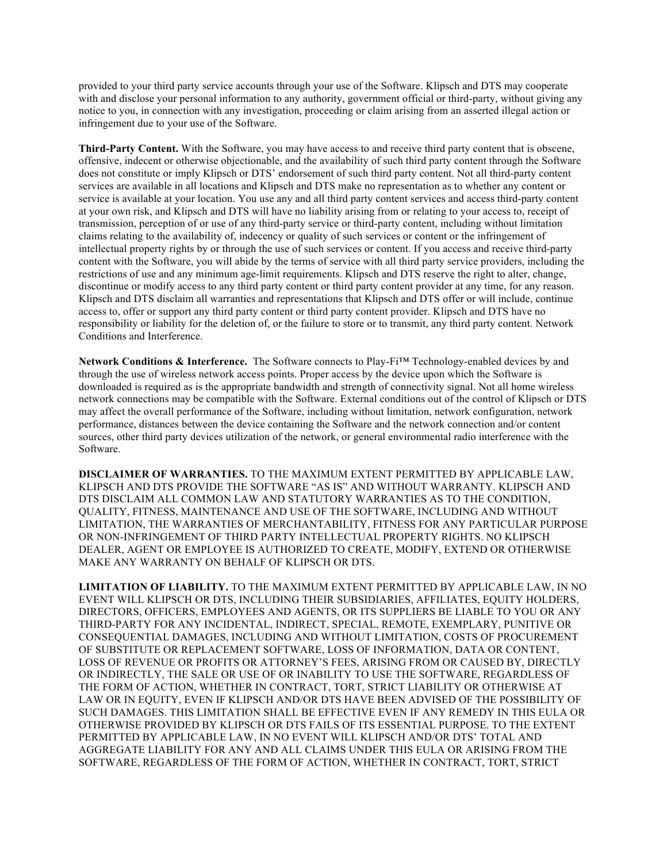provided to your third party service accounts through your use of the Software. Klipsch and DTS may cooperate with and disclose your personal information to any authority, government official or third-party, without giving any notice to you, in connection with any investigation, proceeding or claim arising from an asserted illegal action or infringement due to your use of the Software.

**Third-Party Content.** With the Software, you may have access to and receive third party content that is obscene, offensive, indecent or otherwise objectionable, and the availability of such third party content through the Software does not constitute or imply Klipsch or DTS' endorsement of such third party content. Not all third-party content services are available in all locations and Klipsch and DTS make no representation as to whether any content or service is available at your location. You use any and all third party content services and access third-party content at your own risk, and Klipsch and DTS will have no liability arising from or relating to your access to, receipt of transmission, perception of or use of any third-party service or third-party content, including without limitation claims relating to the availability of, indecency or quality of such services or content or the infringement of intellectual property rights by or through the use of such services or content. If you access and receive third-party content with the Software, you will abide by the terms of service with all third party service providers, including the restrictions of use and any minimum age-limit requirements. Klipsch and DTS reserve the right to alter, change, discontinue or modify access to any third party content or third party content provider at any time, for any reason. Klipsch and DTS disclaim all warranties and representations that Klipsch and DTS offer or will include, continue access to, offer or support any third party content or third party content provider. Klipsch and DTS have no responsibility or liability for the deletion of, or the failure to store or to transmit, any third party content. Network Conditions and Interference.

**Network Conditions & Interference.** The Software connects to Play-Fi™ Technology-enabled devices by and through the use of wireless network access points. Proper access by the device upon which the Software is downloaded is required as is the appropriate bandwidth and strength of connectivity signal. Not all home wireless network connections may be compatible with the Software. External conditions out of the control of Klipsch or DTS may affect the overall performance of the Software, including without limitation, network configuration, network performance, distances between the device containing the Software and the network connection and/or content sources, other third party devices utilization of the network, or general environmental radio interference with the Software.

**DISCLAIMER OF WARRANTIES.** TO THE MAXIMUM EXTENT PERMITTED BY APPLICABLE LAW, KLIPSCH AND DTS PROVIDE THE SOFTWARE "AS IS" AND WITHOUT WARRANTY. KLIPSCH AND DTS DISCLAIM ALL COMMON LAW AND STATUTORY WARRANTIES AS TO THE CONDITION, QUALITY, FITNESS, MAINTENANCE AND USE OF THE SOFTWARE, INCLUDING AND WITHOUT LIMITATION, THE WARRANTIES OF MERCHANTABILITY, FITNESS FOR ANY PARTICULAR PURPOSE OR NON-INFRINGEMENT OF THIRD PARTY INTELLECTUAL PROPERTY RIGHTS. NO KLIPSCH DEALER, AGENT OR EMPLOYEE IS AUTHORIZED TO CREATE, MODIFY, EXTEND OR OTHERWISE MAKE ANY WARRANTY ON BEHALF OF KLIPSCH OR DTS.

**LIMITATION OF LIABILITY.** TO THE MAXIMUM EXTENT PERMITTED BY APPLICABLE LAW, IN NO EVENT WILL KLIPSCH OR DTS, INCLUDING THEIR SUBSIDIARIES, AFFILIATES, EQUITY HOLDERS, DIRECTORS, OFFICERS, EMPLOYEES AND AGENTS, OR ITS SUPPLIERS BE LIABLE TO YOU OR ANY THIRD-PARTY FOR ANY INCIDENTAL, INDIRECT, SPECIAL, REMOTE, EXEMPLARY, PUNITIVE OR CONSEQUENTIAL DAMAGES, INCLUDING AND WITHOUT LIMITATION, COSTS OF PROCUREMENT OF SUBSTITUTE OR REPLACEMENT SOFTWARE, LOSS OF INFORMATION, DATA OR CONTENT, LOSS OF REVENUE OR PROFITS OR ATTORNEY'S FEES, ARISING FROM OR CAUSED BY, DIRECTLY OR INDIRECTLY, THE SALE OR USE OF OR INABILITY TO USE THE SOFTWARE, REGARDLESS OF THE FORM OF ACTION, WHETHER IN CONTRACT, TORT, STRICT LIABILITY OR OTHERWISE AT LAW OR IN EQUITY, EVEN IF KLIPSCH AND/OR DTS HAVE BEEN ADVISED OF THE POSSIBILITY OF SUCH DAMAGES. THIS LIMITATION SHALL BE EFFECTIVE EVEN IF ANY REMEDY IN THIS EULA OR OTHERWISE PROVIDED BY KLIPSCH OR DTS FAILS OF ITS ESSENTIAL PURPOSE. TO THE EXTENT PERMITTED BY APPLICABLE LAW, IN NO EVENT WILL KLIPSCH AND/OR DTS' TOTAL AND AGGREGATE LIABILITY FOR ANY AND ALL CLAIMS UNDER THIS EULA OR ARISING FROM THE SOFTWARE, REGARDLESS OF THE FORM OF ACTION, WHETHER IN CONTRACT, TORT, STRICT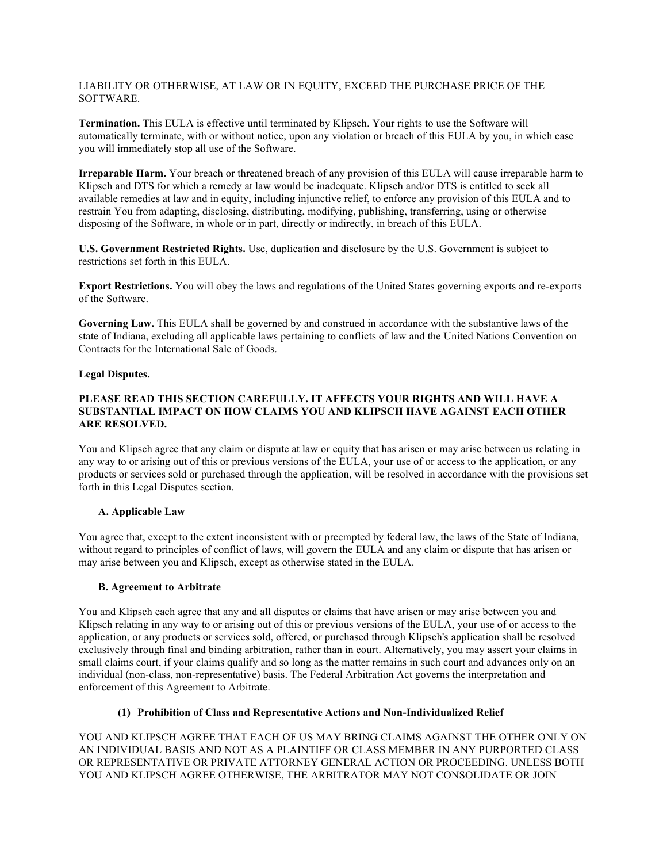LIABILITY OR OTHERWISE, AT LAW OR IN EQUITY, EXCEED THE PURCHASE PRICE OF THE SOFTWARE.

**Termination.** This EULA is effective until terminated by Klipsch. Your rights to use the Software will automatically terminate, with or without notice, upon any violation or breach of this EULA by you, in which case you will immediately stop all use of the Software.

**Irreparable Harm.** Your breach or threatened breach of any provision of this EULA will cause irreparable harm to Klipsch and DTS for which a remedy at law would be inadequate. Klipsch and/or DTS is entitled to seek all available remedies at law and in equity, including injunctive relief, to enforce any provision of this EULA and to restrain You from adapting, disclosing, distributing, modifying, publishing, transferring, using or otherwise disposing of the Software, in whole or in part, directly or indirectly, in breach of this EULA.

**U.S. Government Restricted Rights.** Use, duplication and disclosure by the U.S. Government is subject to restrictions set forth in this EULA.

**Export Restrictions.** You will obey the laws and regulations of the United States governing exports and re-exports of the Software.

**Governing Law.** This EULA shall be governed by and construed in accordance with the substantive laws of the state of Indiana, excluding all applicable laws pertaining to conflicts of law and the United Nations Convention on Contracts for the International Sale of Goods.

## **Legal Disputes.**

## **PLEASE READ THIS SECTION CAREFULLY. IT AFFECTS YOUR RIGHTS AND WILL HAVE A SUBSTANTIAL IMPACT ON HOW CLAIMS YOU AND KLIPSCH HAVE AGAINST EACH OTHER ARE RESOLVED.**

You and Klipsch agree that any claim or dispute at law or equity that has arisen or may arise between us relating in any way to or arising out of this or previous versions of the EULA, your use of or access to the application, or any products or services sold or purchased through the application, will be resolved in accordance with the provisions set forth in this Legal Disputes section.

# **A. Applicable Law**

You agree that, except to the extent inconsistent with or preempted by federal law, the laws of the State of Indiana, without regard to principles of conflict of laws, will govern the EULA and any claim or dispute that has arisen or may arise between you and Klipsch, except as otherwise stated in the EULA.

# **B. Agreement to Arbitrate**

You and Klipsch each agree that any and all disputes or claims that have arisen or may arise between you and Klipsch relating in any way to or arising out of this or previous versions of the EULA, your use of or access to the application, or any products or services sold, offered, or purchased through Klipsch's application shall be resolved exclusively through final and binding arbitration, rather than in court. Alternatively, you may assert your claims in small claims court, if your claims qualify and so long as the matter remains in such court and advances only on an individual (non-class, non-representative) basis. The Federal Arbitration Act governs the interpretation and enforcement of this Agreement to Arbitrate.

# **(1) Prohibition of Class and Representative Actions and Non-Individualized Relief**

YOU AND KLIPSCH AGREE THAT EACH OF US MAY BRING CLAIMS AGAINST THE OTHER ONLY ON AN INDIVIDUAL BASIS AND NOT AS A PLAINTIFF OR CLASS MEMBER IN ANY PURPORTED CLASS OR REPRESENTATIVE OR PRIVATE ATTORNEY GENERAL ACTION OR PROCEEDING. UNLESS BOTH YOU AND KLIPSCH AGREE OTHERWISE, THE ARBITRATOR MAY NOT CONSOLIDATE OR JOIN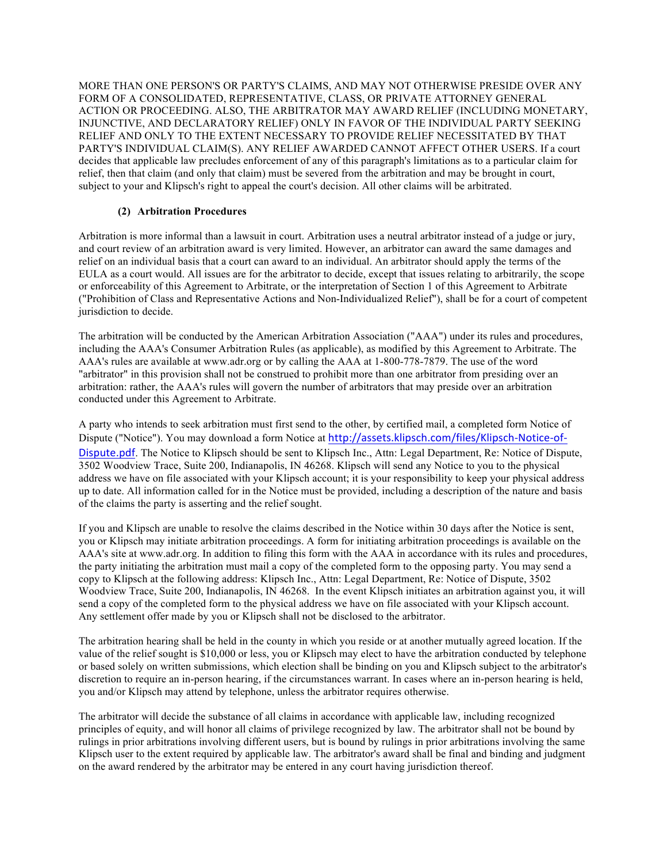MORE THAN ONE PERSON'S OR PARTY'S CLAIMS, AND MAY NOT OTHERWISE PRESIDE OVER ANY FORM OF A CONSOLIDATED, REPRESENTATIVE, CLASS, OR PRIVATE ATTORNEY GENERAL ACTION OR PROCEEDING. ALSO, THE ARBITRATOR MAY AWARD RELIEF (INCLUDING MONETARY, INJUNCTIVE, AND DECLARATORY RELIEF) ONLY IN FAVOR OF THE INDIVIDUAL PARTY SEEKING RELIEF AND ONLY TO THE EXTENT NECESSARY TO PROVIDE RELIEF NECESSITATED BY THAT PARTY'S INDIVIDUAL CLAIM(S). ANY RELIEF AWARDED CANNOT AFFECT OTHER USERS. If a court decides that applicable law precludes enforcement of any of this paragraph's limitations as to a particular claim for relief, then that claim (and only that claim) must be severed from the arbitration and may be brought in court, subject to your and Klipsch's right to appeal the court's decision. All other claims will be arbitrated.

# **(2) Arbitration Procedures**

Arbitration is more informal than a lawsuit in court. Arbitration uses a neutral arbitrator instead of a judge or jury, and court review of an arbitration award is very limited. However, an arbitrator can award the same damages and relief on an individual basis that a court can award to an individual. An arbitrator should apply the terms of the EULA as a court would. All issues are for the arbitrator to decide, except that issues relating to arbitrarily, the scope or enforceability of this Agreement to Arbitrate, or the interpretation of Section 1 of this Agreement to Arbitrate ("Prohibition of Class and Representative Actions and Non-Individualized Relief"), shall be for a court of competent jurisdiction to decide.

The arbitration will be conducted by the American Arbitration Association ("AAA") under its rules and procedures, including the AAA's Consumer Arbitration Rules (as applicable), as modified by this Agreement to Arbitrate. The AAA's rules are available at www.adr.org or by calling the AAA at 1-800-778-7879. The use of the word "arbitrator" in this provision shall not be construed to prohibit more than one arbitrator from presiding over an arbitration: rather, the AAA's rules will govern the number of arbitrators that may preside over an arbitration conducted under this Agreement to Arbitrate.

A party who intends to seek arbitration must first send to the other, by certified mail, a completed form Notice of Dispute ("Notice"). You may download a form Notice at http://assets.klipsch.com/files/Klipsch-Notice-of-Dispute.pdf. The Notice to Klipsch should be sent to Klipsch Inc., Attn: Legal Department, Re: Notice of Dispute, 3502 Woodview Trace, Suite 200, Indianapolis, IN 46268. Klipsch will send any Notice to you to the physical address we have on file associated with your Klipsch account; it is your responsibility to keep your physical address up to date. All information called for in the Notice must be provided, including a description of the nature and basis of the claims the party is asserting and the relief sought.

If you and Klipsch are unable to resolve the claims described in the Notice within 30 days after the Notice is sent, you or Klipsch may initiate arbitration proceedings. A form for initiating arbitration proceedings is available on the AAA's site at www.adr.org. In addition to filing this form with the AAA in accordance with its rules and procedures, the party initiating the arbitration must mail a copy of the completed form to the opposing party. You may send a copy to Klipsch at the following address: Klipsch Inc., Attn: Legal Department, Re: Notice of Dispute, 3502 Woodview Trace, Suite 200, Indianapolis, IN 46268. In the event Klipsch initiates an arbitration against you, it will send a copy of the completed form to the physical address we have on file associated with your Klipsch account. Any settlement offer made by you or Klipsch shall not be disclosed to the arbitrator.

The arbitration hearing shall be held in the county in which you reside or at another mutually agreed location. If the value of the relief sought is \$10,000 or less, you or Klipsch may elect to have the arbitration conducted by telephone or based solely on written submissions, which election shall be binding on you and Klipsch subject to the arbitrator's discretion to require an in-person hearing, if the circumstances warrant. In cases where an in-person hearing is held, you and/or Klipsch may attend by telephone, unless the arbitrator requires otherwise.

The arbitrator will decide the substance of all claims in accordance with applicable law, including recognized principles of equity, and will honor all claims of privilege recognized by law. The arbitrator shall not be bound by rulings in prior arbitrations involving different users, but is bound by rulings in prior arbitrations involving the same Klipsch user to the extent required by applicable law. The arbitrator's award shall be final and binding and judgment on the award rendered by the arbitrator may be entered in any court having jurisdiction thereof.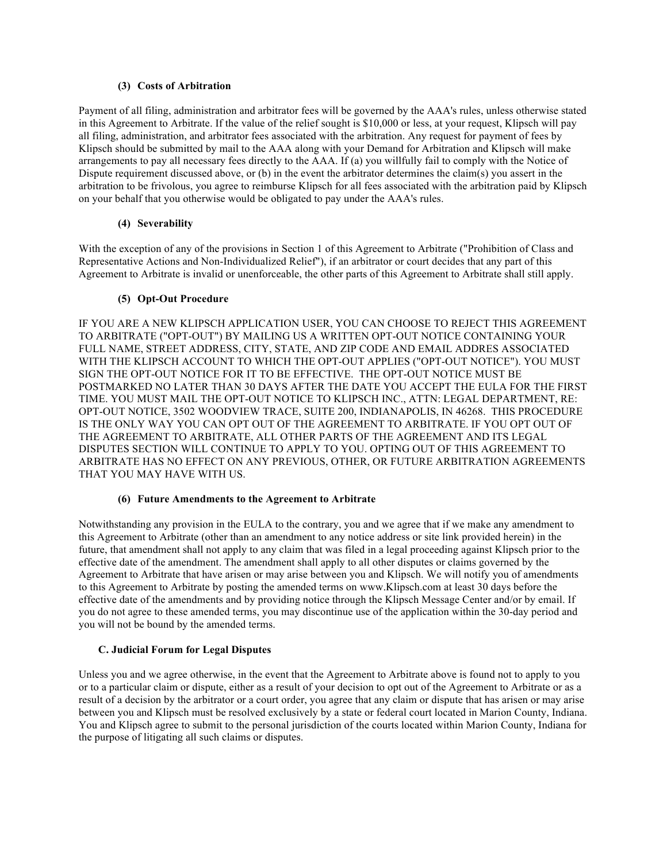## **(3) Costs of Arbitration**

Payment of all filing, administration and arbitrator fees will be governed by the AAA's rules, unless otherwise stated in this Agreement to Arbitrate. If the value of the relief sought is \$10,000 or less, at your request, Klipsch will pay all filing, administration, and arbitrator fees associated with the arbitration. Any request for payment of fees by Klipsch should be submitted by mail to the AAA along with your Demand for Arbitration and Klipsch will make arrangements to pay all necessary fees directly to the AAA. If (a) you willfully fail to comply with the Notice of Dispute requirement discussed above, or (b) in the event the arbitrator determines the claim(s) you assert in the arbitration to be frivolous, you agree to reimburse Klipsch for all fees associated with the arbitration paid by Klipsch on your behalf that you otherwise would be obligated to pay under the AAA's rules.

# **(4) Severability**

With the exception of any of the provisions in Section 1 of this Agreement to Arbitrate ("Prohibition of Class and Representative Actions and Non-Individualized Relief"), if an arbitrator or court decides that any part of this Agreement to Arbitrate is invalid or unenforceable, the other parts of this Agreement to Arbitrate shall still apply.

## **(5) Opt-Out Procedure**

IF YOU ARE A NEW KLIPSCH APPLICATION USER, YOU CAN CHOOSE TO REJECT THIS AGREEMENT TO ARBITRATE ("OPT-OUT") BY MAILING US A WRITTEN OPT-OUT NOTICE CONTAINING YOUR FULL NAME, STREET ADDRESS, CITY, STATE, AND ZIP CODE AND EMAIL ADDRES ASSOCIATED WITH THE KLIPSCH ACCOUNT TO WHICH THE OPT-OUT APPLIES ("OPT-OUT NOTICE"). YOU MUST SIGN THE OPT-OUT NOTICE FOR IT TO BE EFFECTIVE. THE OPT-OUT NOTICE MUST BE POSTMARKED NO LATER THAN 30 DAYS AFTER THE DATE YOU ACCEPT THE EULA FOR THE FIRST TIME. YOU MUST MAIL THE OPT-OUT NOTICE TO KLIPSCH INC., ATTN: LEGAL DEPARTMENT, RE: OPT-OUT NOTICE, 3502 WOODVIEW TRACE, SUITE 200, INDIANAPOLIS, IN 46268. THIS PROCEDURE IS THE ONLY WAY YOU CAN OPT OUT OF THE AGREEMENT TO ARBITRATE. IF YOU OPT OUT OF THE AGREEMENT TO ARBITRATE, ALL OTHER PARTS OF THE AGREEMENT AND ITS LEGAL DISPUTES SECTION WILL CONTINUE TO APPLY TO YOU. OPTING OUT OF THIS AGREEMENT TO ARBITRATE HAS NO EFFECT ON ANY PREVIOUS, OTHER, OR FUTURE ARBITRATION AGREEMENTS THAT YOU MAY HAVE WITH US.

### **(6) Future Amendments to the Agreement to Arbitrate**

Notwithstanding any provision in the EULA to the contrary, you and we agree that if we make any amendment to this Agreement to Arbitrate (other than an amendment to any notice address or site link provided herein) in the future, that amendment shall not apply to any claim that was filed in a legal proceeding against Klipsch prior to the effective date of the amendment. The amendment shall apply to all other disputes or claims governed by the Agreement to Arbitrate that have arisen or may arise between you and Klipsch. We will notify you of amendments to this Agreement to Arbitrate by posting the amended terms on www.Klipsch.com at least 30 days before the effective date of the amendments and by providing notice through the Klipsch Message Center and/or by email. If you do not agree to these amended terms, you may discontinue use of the application within the 30-day period and you will not be bound by the amended terms.

### **C. Judicial Forum for Legal Disputes**

Unless you and we agree otherwise, in the event that the Agreement to Arbitrate above is found not to apply to you or to a particular claim or dispute, either as a result of your decision to opt out of the Agreement to Arbitrate or as a result of a decision by the arbitrator or a court order, you agree that any claim or dispute that has arisen or may arise between you and Klipsch must be resolved exclusively by a state or federal court located in Marion County, Indiana. You and Klipsch agree to submit to the personal jurisdiction of the courts located within Marion County, Indiana for the purpose of litigating all such claims or disputes.